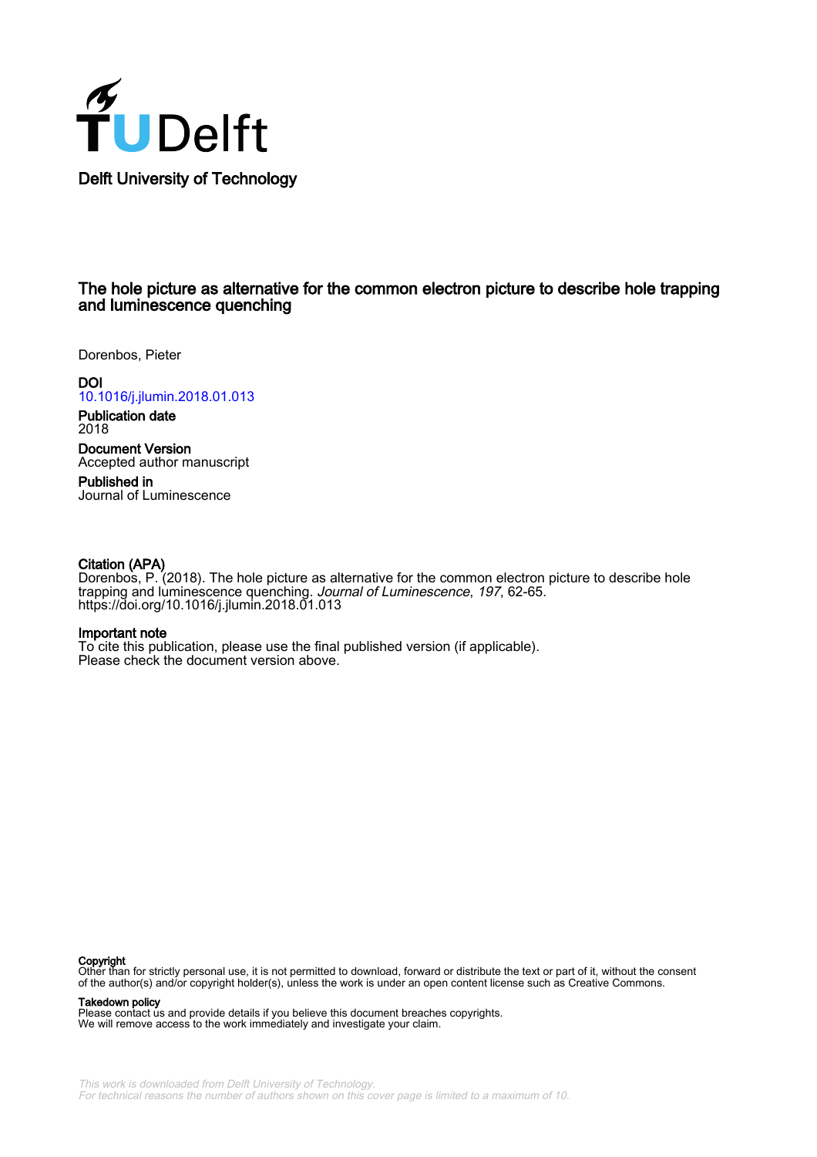

## The hole picture as alternative for the common electron picture to describe hole trapping and luminescence quenching

Dorenbos, Pieter

**DOI** [10.1016/j.jlumin.2018.01.013](https://doi.org/10.1016/j.jlumin.2018.01.013)

Publication date 2018

Document Version Accepted author manuscript

Published in Journal of Luminescence

#### Citation (APA)

Dorenbos, P. (2018). The hole picture as alternative for the common electron picture to describe hole trapping and luminescence quenching. Journal of Luminescence, 197, 62-65. <https://doi.org/10.1016/j.jlumin.2018.01.013>

#### Important note

To cite this publication, please use the final published version (if applicable). Please check the document version above.

#### Copyright

Other than for strictly personal use, it is not permitted to download, forward or distribute the text or part of it, without the consent of the author(s) and/or copyright holder(s), unless the work is under an open content license such as Creative Commons.

#### Takedown policy

Please contact us and provide details if you believe this document breaches copyrights. We will remove access to the work immediately and investigate your claim.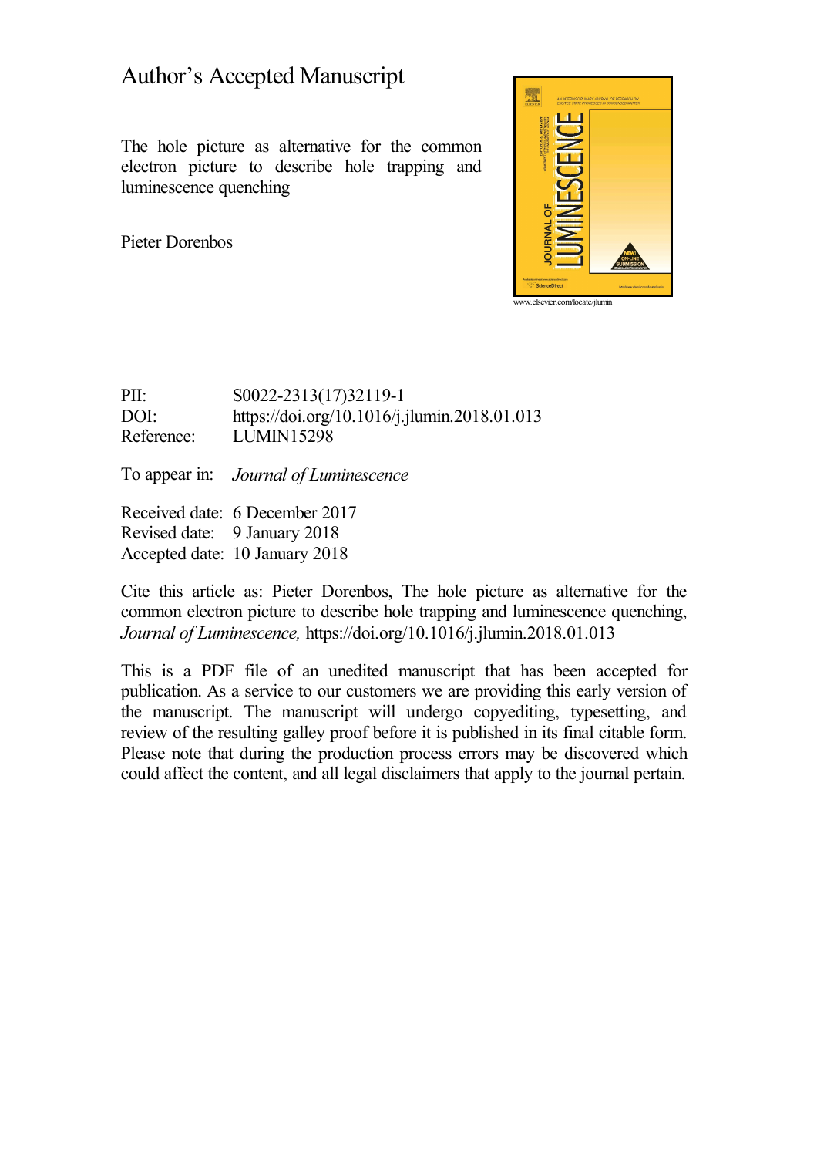# Author's Accepted Manuscript

The hole picture as alternative for the common electron picture to describe hole trapping and luminescence quenching

Pieter Dorenbos



PII: S0022-2313(17)32119-1<br>DOI: https://doi.org/10.1016/i.j <https://doi.org/10.1016/j.jlumin.2018.01.013> Reference: LUMIN15298

To appear in: *Journal of Luminescence*

Received date: 6 December 2017 Revised date: 9 January 2018 Accepted date: 10 January 2018

Cite this article as: Pieter Dorenbos, The hole picture as alternative for the common electron picture to describe hole trapping and luminescence quenching, *Journal of Luminescence,* <https://doi.org/10.1016/j.jlumin.2018.01.013>

This is a PDF file of an unedited manuscript that has been accepted for publication. As a service to our customers we are providing this early version of the manuscript. The manuscript will undergo copyediting, typesetting, and review of the resulting galley proof before it is published in its final citable form. Please note that during the production process errors may be discovered which could affect the content, and all legal disclaimers that apply to the journal pertain.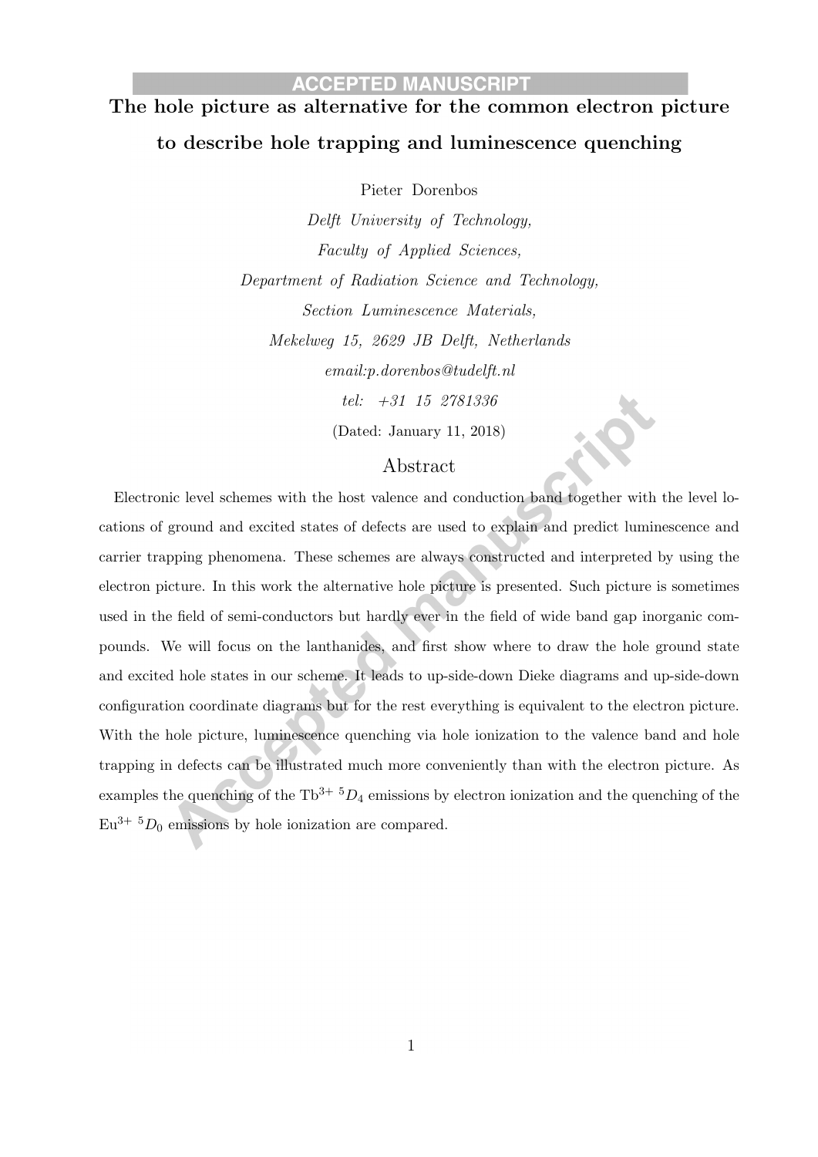# The hole picture as alternative for the common electron picture to describe hole trapping and luminescence quenching

Pieter Dorenbos

Delft University of Technology, Faculty of Applied Sciences, Department of Radiation Science and Technology, Section Luminescence Materials, Mekelweg 15, 2629 JB Delft, Netherlands email:p.dorenbos@tudelft.nl tel: +31 15 2781336 (Dated: January 11, 2018)

#### Abstract

Electronic level schemes with the host valence and conduction band together with the level locations of ground and excited states of defects are used to explain and predict luminescence and carrier trapping phenomena. These schemes are always constructed and interpreted by using the electron picture. In this work the alternative hole picture is presented. Such picture is sometimes used in the field of semi-conductors but hardly ever in the field of wide band gap inorganic compounds. We will focus on the lanthanides, and first show where to draw the hole ground state and excited hole states in our scheme. It leads to up-side-down Dieke diagrams and up-side-down configuration coordinate diagrams but for the rest everything is equivalent to the electron picture. With the hole picture, luminescence quenching via hole ionization to the valence band and hole trapping in defects can be illustrated much more conveniently than with the electron picture. As examples the quenching of the  $\text{Th}^{3+5}D_4$  emissions by electron ionization and the quenching of the  $Eu^{3+5}D_0$  emissions by hole ionization are compared.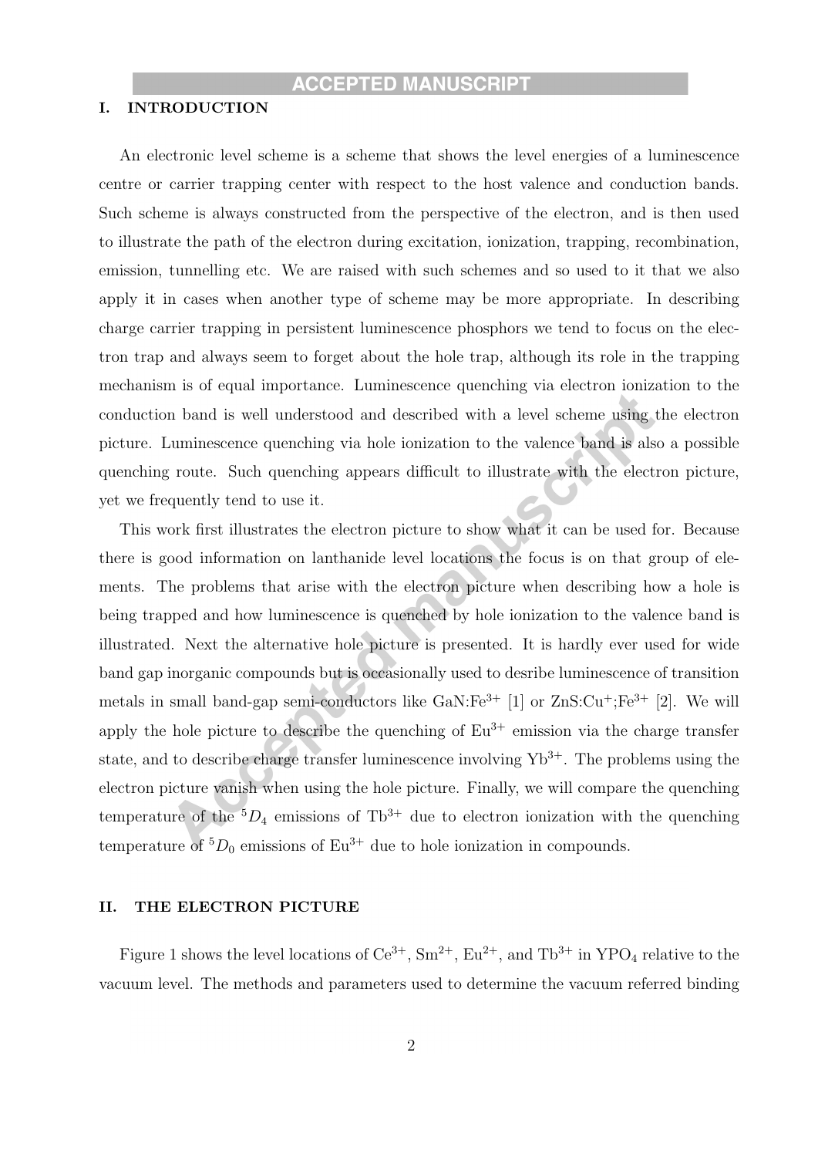#### I. INTRODUCTION

An electronic level scheme is a scheme that shows the level energies of a luminescence centre or carrier trapping center with respect to the host valence and conduction bands. Such scheme is always constructed from the perspective of the electron, and is then used to illustrate the path of the electron during excitation, ionization, trapping, recombination, emission, tunnelling etc. We are raised with such schemes and so used to it that we also apply it in cases when another type of scheme may be more appropriate. In describing charge carrier trapping in persistent luminescence phosphors we tend to focus on the electron trap and always seem to forget about the hole trap, although its role in the trapping mechanism is of equal importance. Luminescence quenching via electron ionization to the conduction band is well understood and described with a level scheme using the electron picture. Luminescence quenching via hole ionization to the valence band is also a possible quenching route. Such quenching appears difficult to illustrate with the electron picture, yet we frequently tend to use it.

This work first illustrates the electron picture to show what it can be used for. Because there is good information on lanthanide level locations the focus is on that group of elements. The problems that arise with the electron picture when describing how a hole is being trapped and how luminescence is quenched by hole ionization to the valence band is illustrated. Next the alternative hole picture is presented. It is hardly ever used for wide band gap inorganic compounds but is occasionally used to desribe luminescence of transition metals in small band-gap semi-conductors like  $\text{GaN:Fe}^{3+}$  [1] or  $\text{ZnS:Cu}^{+}$ ; Fe<sup>3+</sup> [2]. We will apply the hole picture to describe the quenching of  $Eu^{3+}$  emission via the charge transfer state, and to describe charge transfer luminescence involving  $Yb^{3+}$ . The problems using the electron picture vanish when using the hole picture. Finally, we will compare the quenching temperature of the  ${}^5D_4$  emissions of Tb<sup>3+</sup> due to electron ionization with the quenching temperature of  ${}^5D_0$  emissions of Eu<sup>3+</sup> due to hole ionization in compounds.

#### II. THE ELECTRON PICTURE

Figure 1 shows the level locations of  $Ce^{3+}$ ,  $Sm^{2+}$ ,  $Eu^{2+}$ , and  $Tb^{3+}$  in  $YPO_4$  relative to the vacuum level. The methods and parameters used to determine the vacuum referred binding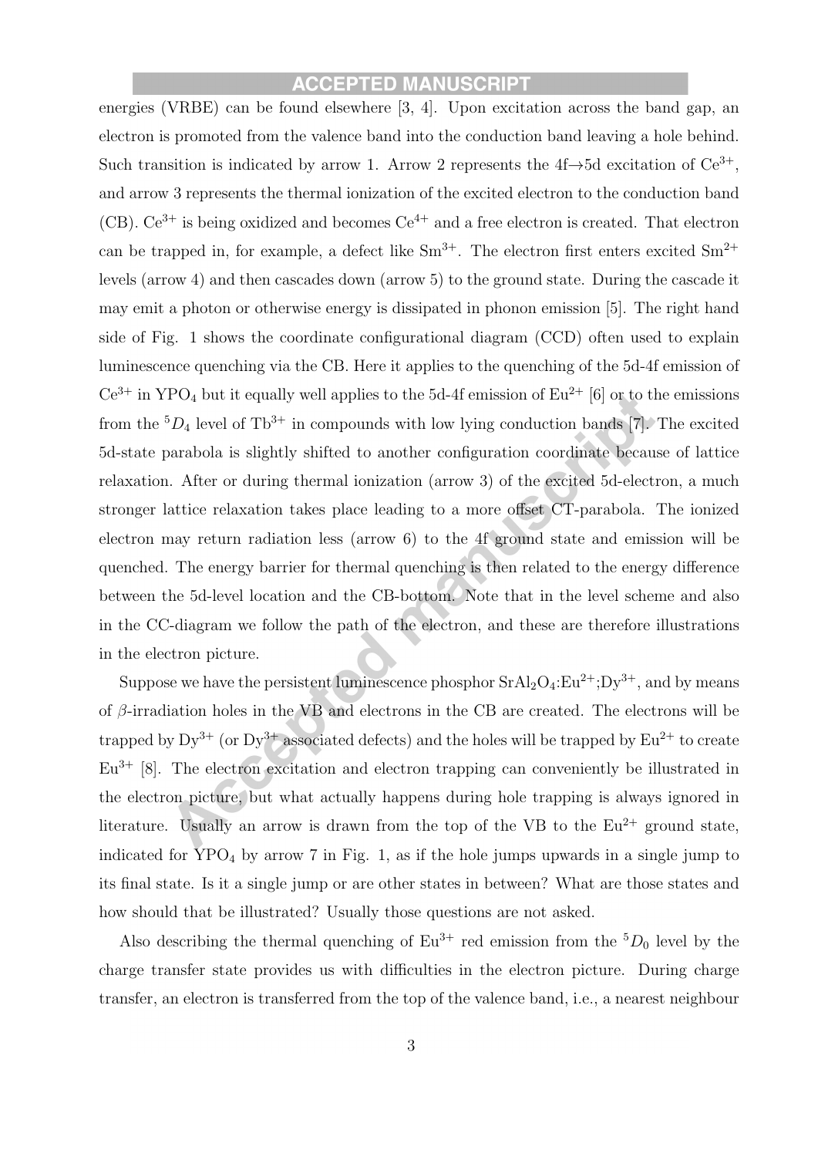energies (VRBE) can be found elsewhere [3, 4]. Upon excitation across the band gap, an electron is promoted from the valence band into the conduction band leaving a hole behind. Such transition is indicated by arrow 1. Arrow 2 represents the  $4f\rightarrow 5d$  excitation of  $Ce^{3+}$ , and arrow 3 represents the thermal ionization of the excited electron to the conduction band (CB).  $Ce^{3+}$  is being oxidized and becomes  $Ce^{4+}$  and a free electron is created. That electron can be trapped in, for example, a defect like  $\text{Sm}^{3+}$ . The electron first enters excited  $\text{Sm}^{2+}$ levels (arrow 4) and then cascades down (arrow 5) to the ground state. During the cascade it may emit a photon or otherwise energy is dissipated in phonon emission [5]. The right hand side of Fig. 1 shows the coordinate configurational diagram (CCD) often used to explain luminescence quenching via the CB. Here it applies to the quenching of the 5d-4f emission of  $Ce^{3+}$  in YPO<sub>4</sub> but it equally well applies to the 5d-4f emission of  $Eu^{2+}$  [6] or to the emissions from the  ${}^5D_4$  level of Tb<sup>3+</sup> in compounds with low lying conduction bands [7]. The excited 5d-state parabola is slightly shifted to another configuration coordinate because of lattice relaxation. After or during thermal ionization (arrow 3) of the excited 5d-electron, a much stronger lattice relaxation takes place leading to a more offset CT-parabola. The ionized electron may return radiation less (arrow 6) to the 4f ground state and emission will be quenched. The energy barrier for thermal quenching is then related to the energy difference between the 5d-level location and the CB-bottom. Note that in the level scheme and also in the CC-diagram we follow the path of the electron, and these are therefore illustrations in the electron picture.

Suppose we have the persistent luminescence phosphor  $SrAl<sub>2</sub>O<sub>4</sub>:Eu<sup>2+</sup>; Dy<sup>3+</sup>$ , and by means of  $\beta$ -irradiation holes in the VB and electrons in the CB are created. The electrons will be trapped by  $Dy^{3+}$  (or  $Dy^{3+}$  associated defects) and the holes will be trapped by  $Eu^{2+}$  to create  $Eu<sup>3+</sup>$  [8]. The electron excitation and electron trapping can conveniently be illustrated in the electron picture, but what actually happens during hole trapping is always ignored in literature. Usually an arrow is drawn from the top of the VB to the  $Eu^{2+}$  ground state, indicated for  $\text{YPO}_4$  by arrow 7 in Fig. 1, as if the hole jumps upwards in a single jump to its final state. Is it a single jump or are other states in between? What are those states and how should that be illustrated? Usually those questions are not asked.

Also describing the thermal quenching of  $Eu^{3+}$  red emission from the  ${}^{5}D_0$  level by the charge transfer state provides us with difficulties in the electron picture. During charge transfer, an electron is transferred from the top of the valence band, i.e., a nearest neighbour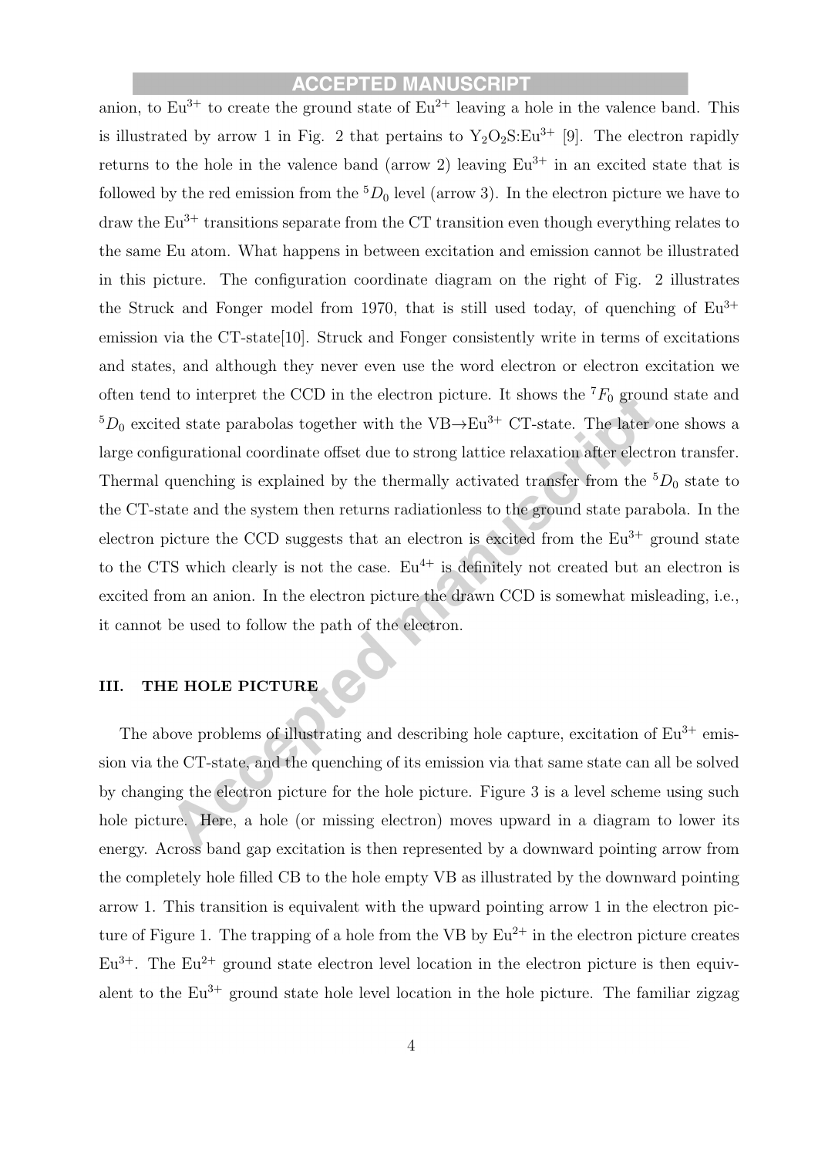anion, to  $Eu^{3+}$  to create the ground state of  $Eu^{2+}$  leaving a hole in the valence band. This is illustrated by arrow 1 in Fig. 2 that pertains to  $Y_2O_2S:Eu^{3+}$  [9]. The electron rapidly returns to the hole in the valence band (arrow 2) leaving  $Eu^{3+}$  in an excited state that is followed by the red emission from the  ${}^5D_0$  level (arrow 3). In the electron picture we have to draw the  $Eu^{3+}$  transitions separate from the CT transition even though everything relates to the same Eu atom. What happens in between excitation and emission cannot be illustrated in this picture. The configuration coordinate diagram on the right of Fig. 2 illustrates the Struck and Fonger model from 1970, that is still used today, of quenching of  $Eu^{3+}$ emission via the CT-state<sup>[10]</sup>. Struck and Fonger consistently write in terms of excitations and states, and although they never even use the word electron or electron excitation we often tend to interpret the CCD in the electron picture. It shows the  ${}^{7}F_{0}$  ground state and  $5D_0$  excited state parabolas together with the VB $\rightarrow$ Eu<sup>3+</sup> CT-state. The later one shows a large configurational coordinate offset due to strong lattice relaxation after electron transfer. Thermal quenching is explained by the thermally activated transfer from the  ${}^5D_0$  state to the CT-state and the system then returns radiationless to the ground state parabola. In the electron picture the CCD suggests that an electron is excited from the  $Eu^{3+}$  ground state to the CTS which clearly is not the case.  $Eu^{4+}$  is definitely not created but an electron is excited from an anion. In the electron picture the drawn CCD is somewhat misleading, i.e., it cannot be used to follow the path of the electron.

# III. THE HOLE PICTURE

The above problems of illustrating and describing hole capture, excitation of  $Eu^{3+}$  emission via the CT-state, and the quenching of its emission via that same state can all be solved by changing the electron picture for the hole picture. Figure 3 is a level scheme using such hole picture. Here, a hole (or missing electron) moves upward in a diagram to lower its energy. Across band gap excitation is then represented by a downward pointing arrow from the completely hole filled CB to the hole empty VB as illustrated by the downward pointing arrow 1. This transition is equivalent with the upward pointing arrow 1 in the electron picture of Figure 1. The trapping of a hole from the VB by  $Eu^{2+}$  in the electron picture creates  $Eu^{3+}$ . The  $Eu^{2+}$  ground state electron level location in the electron picture is then equivalent to the  $Eu^{3+}$  ground state hole level location in the hole picture. The familiar zigzag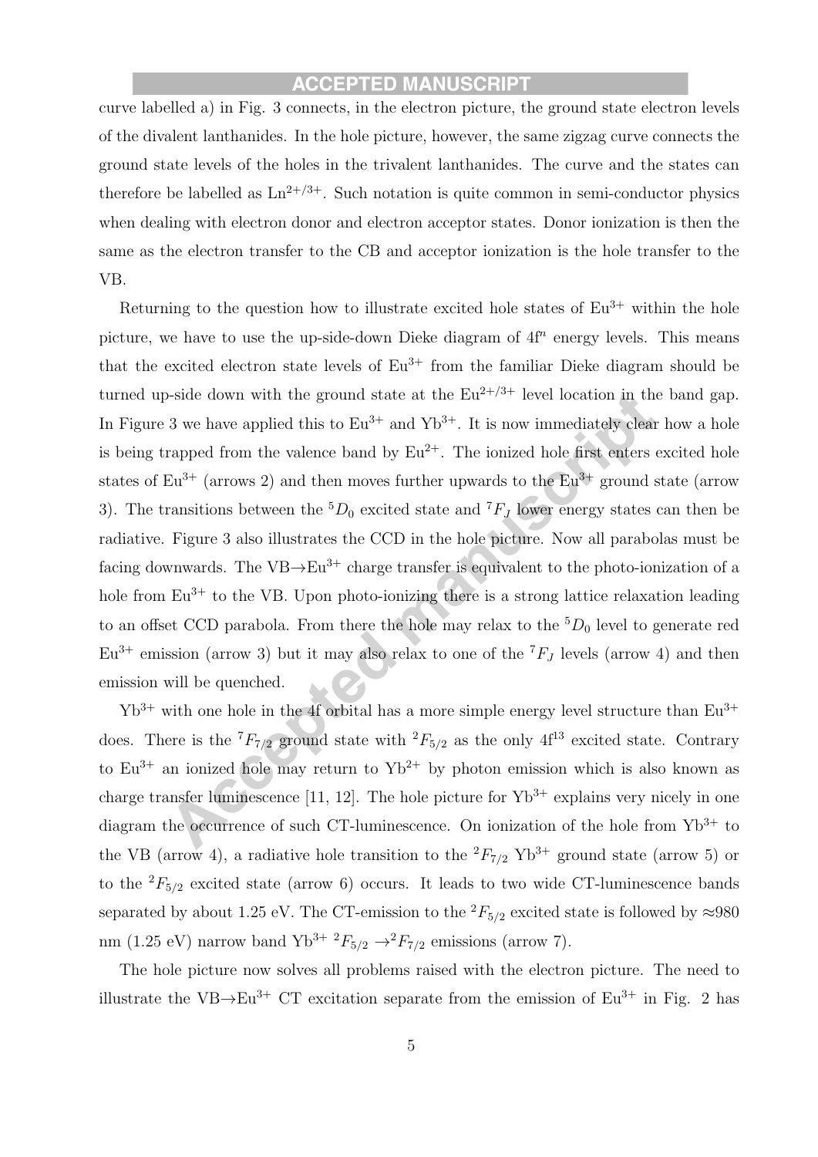curve labelled a) in Fig. 3 connects, in the electron picture, the ground state electron levels of the divalent lanthanides. In the hole picture, however, the same zigzag curve connects the ground state levels of the holes in the trivalent lanthanides. The curve and the states can therefore be labelled as  $\text{Ln}^{2+/3+}$ . Such notation is quite common in semi-conductor physics when dealing with electron donor and electron acceptor states. Donor ionization is then the same as the electron transfer to the CB and acceptor ionization is the hole transfer to the VB.

Returning to the question how to illustrate excited hole states of  $Eu^{3+}$  within the hole picture, we have to use the up-side-down Dieke diagram of  $4f<sup>n</sup>$  energy levels. This means that the excited electron state levels of  $Eu^{3+}$  from the familiar Dieke diagram should be turned up-side down with the ground state at the  $Eu^{2+/3+}$  level location in the band gap. In Figure 3 we have applied this to  $Eu^{3+}$  and  $Yb^{3+}$ . It is now immediately clear how a hole is being trapped from the valence band by  $Eu^{2+}$ . The ionized hole first enters excited hole states of  $Eu^{3+}$  (arrows 2) and then moves further upwards to the  $Eu^{3+}$  ground state (arrow 3). The transitions between the  ${}^5D_0$  excited state and  ${}^7F_J$  lower energy states can then be radiative. Figure 3 also illustrates the CCD in the hole picture. Now all parabolas must be facing downwards. The VB $\rightarrow$ Eu<sup>3+</sup> charge transfer is equivalent to the photo-ionization of a hole from  $Eu^{3+}$  to the VB. Upon photo-ionizing there is a strong lattice relaxation leading to an offset CCD parabola. From there the hole may relax to the  ${}^5D_0$  level to generate red  $Eu^{3+}$  emission (arrow 3) but it may also relax to one of the  $^{7}F_J$  levels (arrow 4) and then emission will be quenched.

 $Yb^{3+}$  with one hole in the 4f orbital has a more simple energy level structure than  $Eu^{3+}$ does. There is the  ${}^{7}F_{7/2}$  ground state with  ${}^{2}F_{5/2}$  as the only 4f<sup>13</sup> excited state. Contrary to  $Eu^{3+}$  an ionized hole may return to  $Yb^{2+}$  by photon emission which is also known as charge transfer luminescence [11, 12]. The hole picture for  $Yb^{3+}$  explains very nicely in one diagram the occurrence of such CT-luminescence. On ionization of the hole from  $Yb^{3+}$  to the VB (arrow 4), a radiative hole transition to the  ${}^{2}F_{7/2}$  Yb<sup>3+</sup> ground state (arrow 5) or to the  ${}^{2}F_{5/2}$  excited state (arrow 6) occurs. It leads to two wide CT-luminescence bands separated by about 1.25 eV. The CT-emission to the  ${}^{2}F_{5/2}$  excited state is followed by  $\approx 980$ nm (1.25 eV) narrow band Yb<sup>3+</sup>  ${}^{2}F_{5/2} \rightarrow {}^{2}F_{7/2}$  emissions (arrow 7).

The hole picture now solves all problems raised with the electron picture. The need to illustrate the VB $\rightarrow$ Eu<sup>3+</sup> CT excitation separate from the emission of Eu<sup>3+</sup> in Fig. 2 has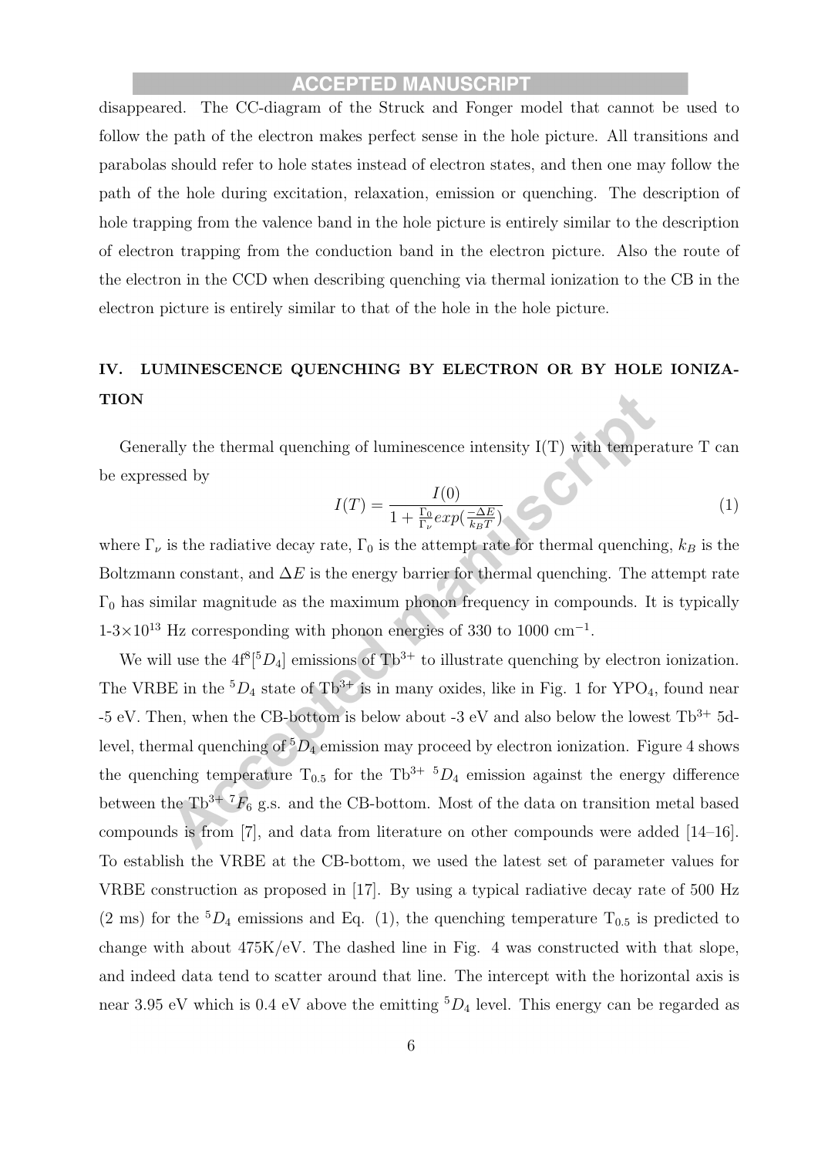disappeared. The CC-diagram of the Struck and Fonger model that cannot be used to follow the path of the electron makes perfect sense in the hole picture. All transitions and parabolas should refer to hole states instead of electron states, and then one may follow the path of the hole during excitation, relaxation, emission or quenching. The description of hole trapping from the valence band in the hole picture is entirely similar to the description of electron trapping from the conduction band in the electron picture. Also the route of the electron in the CCD when describing quenching via thermal ionization to the CB in the electron picture is entirely similar to that of the hole in the hole picture.

# IV. LUMINESCENCE QUENCHING BY ELECTRON OR BY HOLE IONIZA-**TION**

Generally the thermal quenching of luminescence intensity I(T) with temperature T can be expressed by

$$
I(T) = \frac{I(0)}{1 + \frac{\Gamma_0}{\Gamma_\nu} exp(\frac{-\Delta E}{k_B T})} \tag{1}
$$

where  $\Gamma_{\nu}$  is the radiative decay rate,  $\Gamma_{0}$  is the attempt rate for thermal quenching,  $k_{B}$  is the Boltzmann constant, and  $\Delta E$  is the energy barrier for thermal quenching. The attempt rate  $\Gamma_0$  has similar magnitude as the maximum phonon frequency in compounds. It is typically  $1-3\times10^{13}$  Hz corresponding with phonon energies of 330 to 1000 cm<sup>-1</sup>.

We will use the  $4f^8[{}^5D_4]$  emissions of Tb<sup>3+</sup> to illustrate quenching by electron ionization. The VRBE in the  ${}^5D_4$  state of Tb<sup>3+</sup> is in many oxides, like in Fig. 1 for YPO<sub>4</sub>, found near -5 eV. Then, when the CB-bottom is below about -3 eV and also below the lowest  $\text{Th}^{3+}$  5dlevel, thermal quenching of  ${}^5D_4$  emission may proceed by electron ionization. Figure 4 shows the quenching temperature  $T_{0.5}$  for the Tb<sup>3+ 5</sup>D<sub>4</sub> emission against the energy difference between the Tb<sup>3+ 7</sup> $F_6$  g.s. and the CB-bottom. Most of the data on transition metal based compounds is from [7], and data from literature on other compounds were added [14–16]. To establish the VRBE at the CB-bottom, we used the latest set of parameter values for VRBE construction as proposed in [17]. By using a typical radiative decay rate of 500 Hz (2 ms) for the  ${}^5D_4$  emissions and Eq. (1), the quenching temperature  $T_{0.5}$  is predicted to change with about 475K/eV. The dashed line in Fig. 4 was constructed with that slope, and indeed data tend to scatter around that line. The intercept with the horizontal axis is near 3.95 eV which is 0.4 eV above the emitting  ${}^5D_4$  level. This energy can be regarded as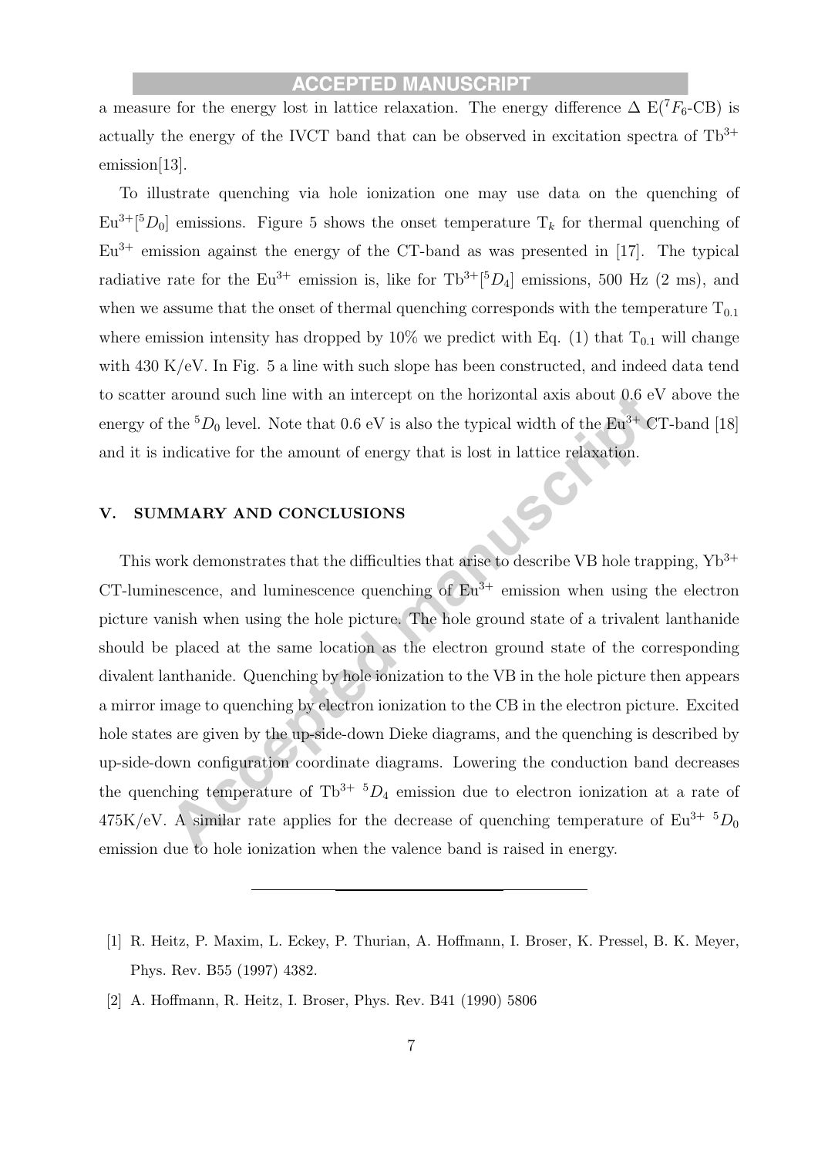a measure for the energy lost in lattice relaxation. The energy difference  $\Delta E(T_{F_6} - CB)$  is actually the energy of the IVCT band that can be observed in excitation spectra of  $\text{Th}^{3+}$ emission[13].

To illustrate quenching via hole ionization one may use data on the quenching of  $Eu^{3+}[{}^{5}D_{0}]$  emissions. Figure 5 shows the onset temperature  $T_k$  for thermal quenching of  $Eu^{3+}$  emission against the energy of the CT-band as was presented in [17]. The typical radiative rate for the  $Eu^{3+}$  emission is, like for  $Tb^{3+}[{}^{5}D_4]$  emissions, 500 Hz (2 ms), and when we assume that the onset of thermal quenching corresponds with the temperature  $T_{0,1}$ where emission intensity has dropped by 10% we predict with Eq. (1) that  $T_{0,1}$  will change with 430 K/eV. In Fig. 5 a line with such slope has been constructed, and indeed data tend to scatter around such line with an intercept on the horizontal axis about 0.6 eV above the energy of the  ${}^5D_0$  level. Note that 0.6 eV is also the typical width of the Eu<sup>3+</sup> CT-band [18] and it is indicative for the amount of energy that is lost in lattice relaxation.

#### V. SUMMARY AND CONCLUSIONS

This work demonstrates that the difficulties that arise to describe VB hole trapping,  $Yb^{3+}$ CT-luminescence, and luminescence quenching of  $Eu^{3+}$  emission when using the electron picture vanish when using the hole picture. The hole ground state of a trivalent lanthanide should be placed at the same location as the electron ground state of the corresponding divalent lanthanide. Quenching by hole ionization to the VB in the hole picture then appears a mirror image to quenching by electron ionization to the CB in the electron picture. Excited hole states are given by the up-side-down Dieke diagrams, and the quenching is described by up-side-down configuration coordinate diagrams. Lowering the conduction band decreases the quenching temperature of  $\text{Th}^{3+}$   $^5D_4$  emission due to electron ionization at a rate of  $475K/eV$ . A similar rate applies for the decrease of quenching temperature of  $Eu^{3+5}D_0$ emission due to hole ionization when the valence band is raised in energy.

- [1] R. Heitz, P. Maxim, L. Eckey, P. Thurian, A. Hoffmann, I. Broser, K. Pressel, B. K. Meyer, Phys. Rev. B55 (1997) 4382.
- [2] A. Hoffmann, R. Heitz, I. Broser, Phys. Rev. B41 (1990) 5806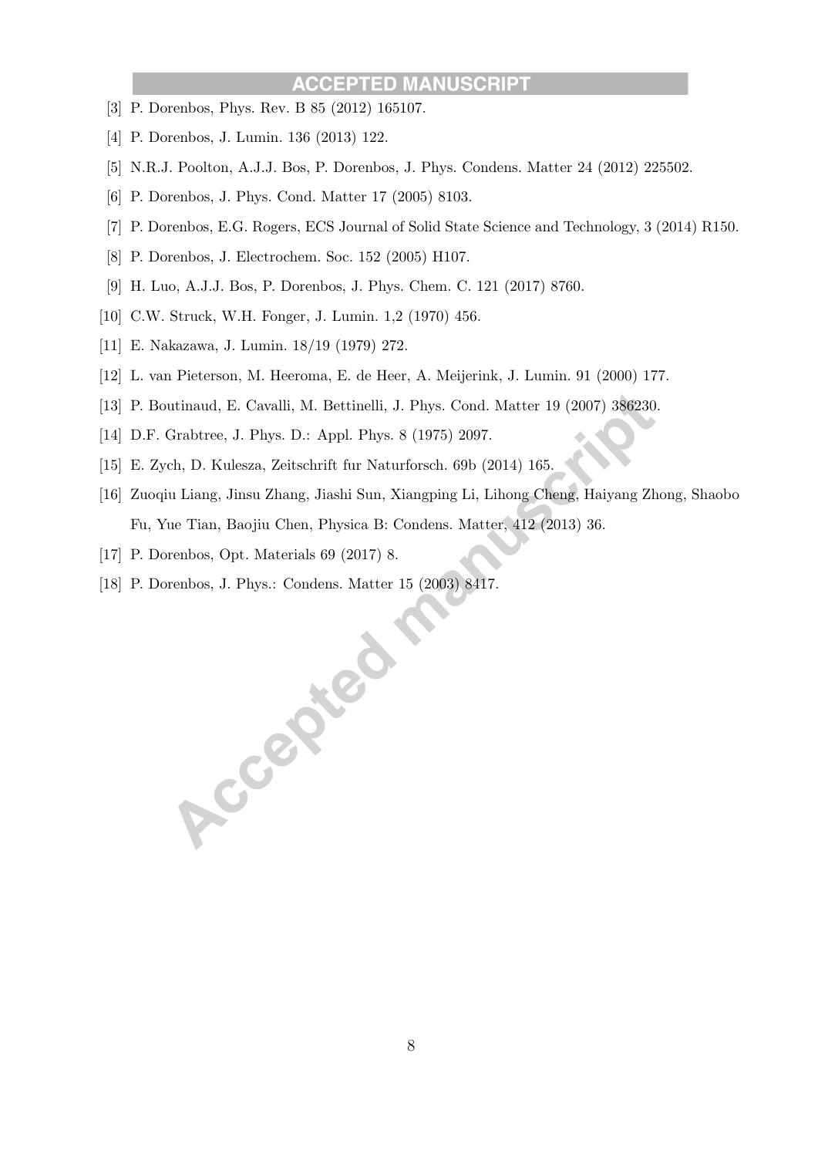#### **IUSCRIPT ACCEPTED MAN**

- [3] P. Dorenbos, Phys. Rev. B 85 (2012) 165107.
- [4] P. Dorenbos, J. Lumin. 136 (2013) 122.
- [5] N.R.J. Poolton, A.J.J. Bos, P. Dorenbos, J. Phys. Condens. Matter 24 (2012) 225502.
- [6] P. Dorenbos, J. Phys. Cond. Matter 17 (2005) 8103.
- [7] P. Dorenbos, E.G. Rogers, ECS Journal of Solid State Science and Technology, 3 (2014) R150.
- [8] P. Dorenbos, J. Electrochem. Soc. 152 (2005) H107.
- [9] H. Luo, A.J.J. Bos, P. Dorenbos, J. Phys. Chem. C. 121 (2017) 8760.
- [10] C.W. Struck, W.H. Fonger, J. Lumin. 1,2 (1970) 456.
- [11] E. Nakazawa, J. Lumin. 18/19 (1979) 272.
- [12] L. van Pieterson, M. Heeroma, E. de Heer, A. Meijerink, J. Lumin. 91 (2000) 177.
- [13] P. Boutinaud, E. Cavalli, M. Bettinelli, J. Phys. Cond. Matter 19 (2007) 386230.
- [14] D.F. Grabtree, J. Phys. D.: Appl. Phys. 8 (1975) 2097.
- [15] E. Zych, D. Kulesza, Zeitschrift fur Naturforsch. 69b (2014) 165.
- [16] Zuoqiu Liang, Jinsu Zhang, Jiashi Sun, Xiangping Li, Lihong Cheng, Haiyang Zhong, Shaobo Fu, Yue Tian, Baojiu Chen, Physica B: Condens. Matter, 412 (2013) 36.
- [17] P. Dorenbos, Opt. Materials 69 (2017) 8.
- [18] P. Dorenbos, J. Phys.: Condens. Matter 15 (2003) 8417.

Accepted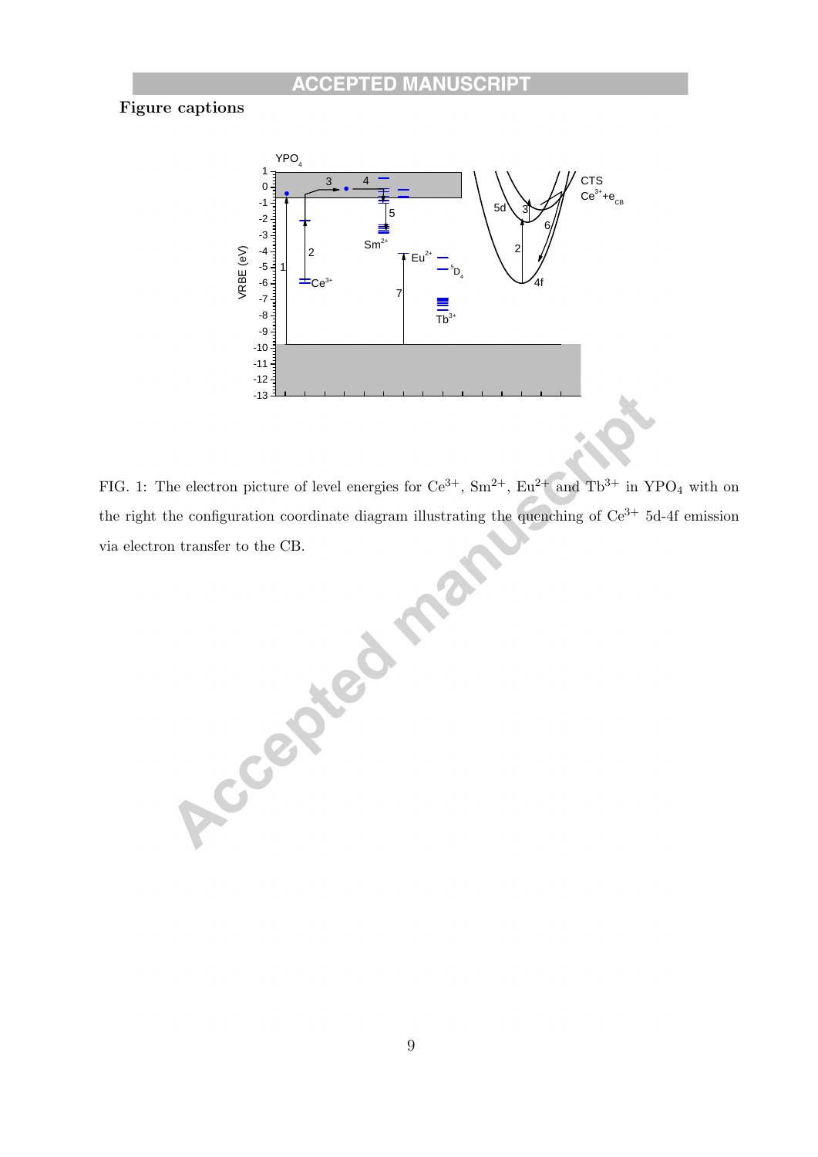# Figure captions



FIG. 1: The electron picture of level energies for  $Ce^{3+}$ ,  $Sm^{2+}$ ,  $Eu^{2+}$  and  $Tb^{3+}$  in YPO<sub>4</sub> with on the right the configuration coordinate diagram illustrating the quenching of Ce<sup>3+</sup> 5d-4f emission<br>via electron transfer to the CB.<br>**All the configuration** via electron transfer to the CB.

9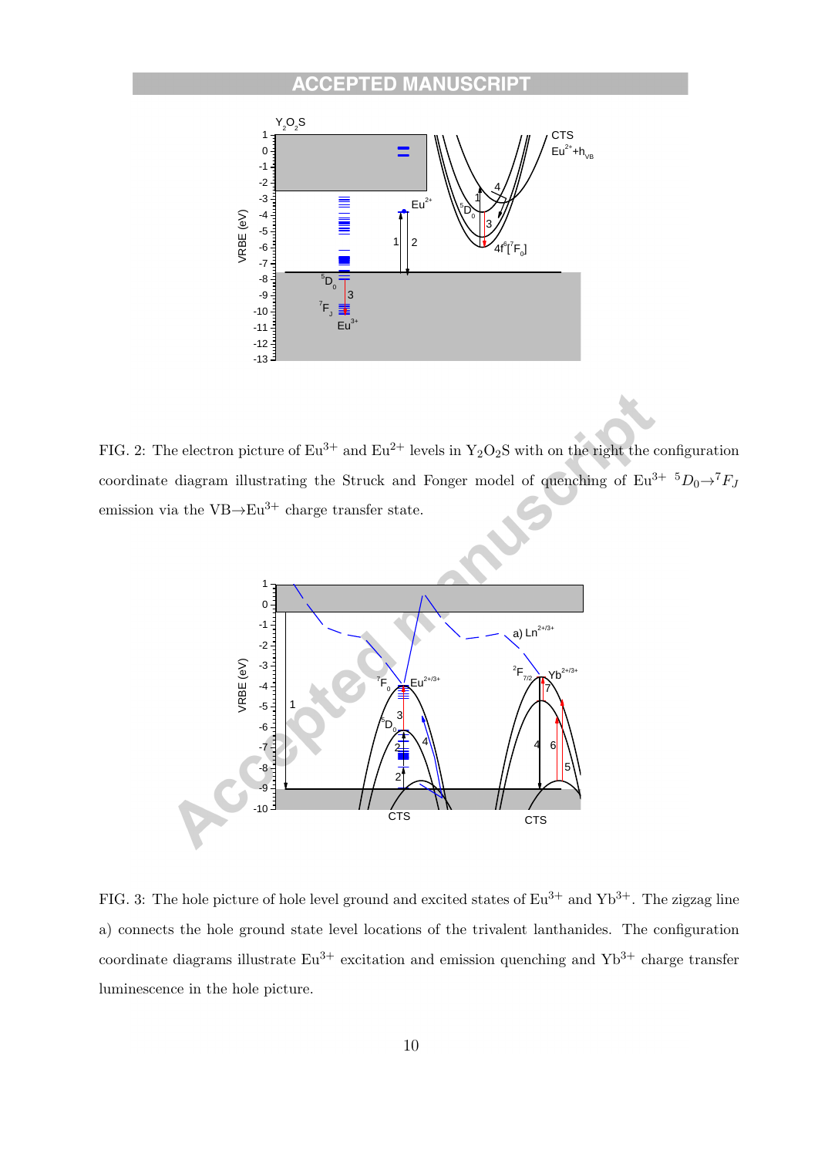#### **ACC** ED EPTI C.



FIG. 2: The electron picture of  $Eu^{3+}$  and  $Eu^{2+}$  levels in  $Y_2O_2S$  with on the right the configuration coordinate diagram illustrating the Struck and Fonger model of quenching of  $Eu^{3+} D_0 \rightarrow T_{fJ}$ emission via the  $VB \rightarrow Eu^{3+}$  charge transfer state.



FIG. 3: The hole picture of hole level ground and excited states of  $Eu^{3+}$  and  $Yb^{3+}$ . The zigzag line a) connects the hole ground state level locations of the trivalent lanthanides. The configuration coordinate diagrams illustrate  $Eu^{3+}$  excitation and emission quenching and  $Yb^{3+}$  charge transfer luminescence in the hole picture.